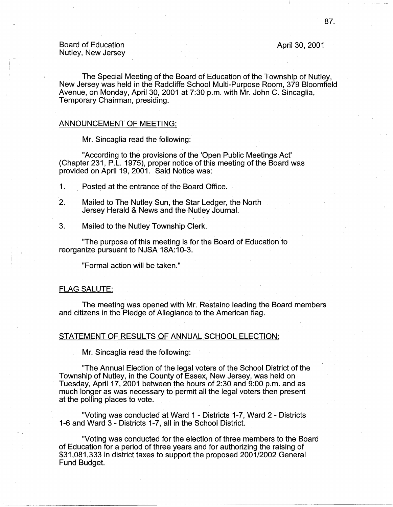April 30, 2001

The Special Meeting of the Board of Education of the Township of Nutley, New Jersey was held in the Radcliffe School Multi-Purpose Room, 379 Bloomfield Avenue, on Monday, April 30, 2001 at 7:30 p.m. with Mr. John C. Sincaglia, Temporary Chairman, presiding.

## ANNOUNCEMENT OF MEETING:

Mr. Sincaglia read the following:

"According to the provisions of the 'Open Public Meetings Act' (Chapter 231, P .L. 1975), proper notice of this meeting of the Board was provided on April 19, 2001. Said Notice was:

1. Posted at the entrance of the Board Office.

- 2. Mailed to The Nutley Sun, the Star Ledger, the North Jersey Herald & News and the Nutley Journal.
- 3. Mailed to the Nutley Township Clerk.

"The purpose of this meeting is for the Board of Education to reorganize pursuant to **NJSA** 18A:10-3.

"Formal action will be taken."

### FLAG SALUTE:

The meeting was opened with Mr. Restaino leading the Board members and citizens in the Pledge of Allegiance to the American flag.

## STATEMENT OF RESULTS OF ANNUAL SCHOOL ELECTION:

Mr. Sincaglia read the following:

"The Annual Election of the legal voters of the School District of the Township of Nutley, in the County of Essex, New Jersey, was held on Tuesday, April 17, 2001 between the hours of 2:30 and 9:00 p.m. and as much longer as was necessary to permit all the legal voters then present at the polling places to vote.

"Voting was conducted at Ward 1 - Districts 1-7, Ward 2 - Districts 1-6 and Ward 3 - Districts 1-7, all in the School District.

"Voting was conducted for the election of three members to the Board of Education for a period of three years and for authorizing the raising of \$31,081,333 in district taxes to support the proposed 2001/2002 General Fund Budget.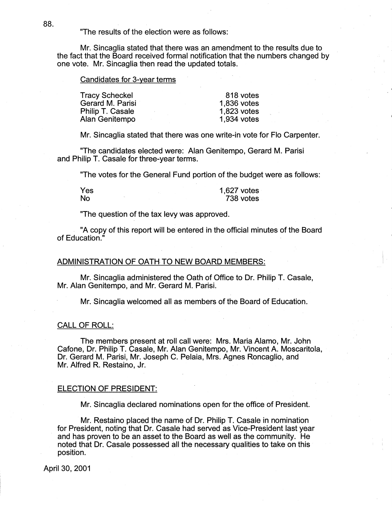"The results of the election were as follows:

Mr. Sincaglia stated that there was an amendment to the results due to the fact that the Board received formal notification that the numbers changed by one vote. Mr. Sincaglia then read the updated totals.

#### Candidates for 3-year terms

| 818 votes   |
|-------------|
| 1,836 votes |
| 1,823 votes |
| 1,934 votes |
|             |

Mr. Sincaglia stated that there was one write-in vote for Flo Carpenter.

"The candidates elected were: Alan Genitempo, Gerard M. Parisi and Philip T. Casale for three-year terms.

"The votes for the General Fund portion of the budget were as follows:

| .,<br>÷ |  |
|---------|--|
| Ń.<br>ć |  |

1,627 votes 738 votes

"The question of the tax levy was approved.

"A copy of this report will be entered in the official minutes of the Board of Education."

# ADMINISTRATION OF OATH TO NEW BOARD MEMBERS:

Mr. Sincaglia administered the Oath of Office to Dr. Philip T. Casale, Mr. Alan Genitempo, and Mr. Gerard M. Parisi.

Mr. Sincaglia welcomed all as members of the Board of Education.

#### CALL OF ROLL:

The members present at roll call were: Mrs. Maria Alamo, Mr. John Cafone, Dr. Philip T. Casale, Mr. Alan Genitempo, Mr. Vincent A. Moscaritola, Dr. Gerard M. Parisi, Mr. Joseph C. Pelaia, Mrs. Agnes Roncaglio, and Mr. Alfred R. Restaino, Jr.

#### ELECTION OF PRESIDENT:

Mr. Sincaglia declared nominations open for the office of President.

Mr. Restaino placed the name of Dr. Philip T. Casale in nomination for President, noting that Dr. Casale had served as Vice-President last year and has proven to be an asset to the Board as well as the community. He noted that Dr. Casale possessed all the necessary qualities to take on this position.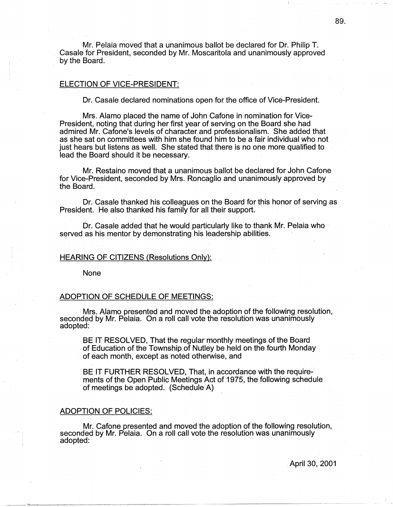Mr. Pelaia moved that a unanimous ballot be declared for Dr. Philip T. Casale for President, seconded by Mr. Moscaritola and unanimously approved by the Board.

# ELECTION OF VICE-PRESIDENT:

Dr. Casale declared nominations open for the office of Vice-President.

Mrs. Alamo placed the name of John Cafone in nomination for Vice-President, noting that during her first year of serving on the Board she had admired Mr. Cafone's levels of character and professionalism. She added that as she sat on committees with him she found him to be a fair individual who not just hears but listens as well. She stated that there is no one more qualified· to lead the Board should it be necessary.

Mr. Restaino moved that a unanimous ballot be declared for John Cafone for Vice-President, seconded by Mrs. Roncaglio and unanimously approved by the Board.

Dr. Casale thanked his colleagues on the Board for this honor of serving as President. He also thanked his family for all their support.

Dr. Casale added that he would particularly like to thank Mr. Pelaia who served as his mentor by demonstrating his leadership abilities.

#### HEARING OF CITIZENS (Resolutions Only):

None

## ADOPTION OF SCHEDULE OF MEETINGS:

Mrs. Alamo presented and moved the adoption of the following resolution, seconded by Mr. Pelaia. On a roll call vote the resolution was unanimously adopted:

BE IT RESOLVED, That the regular monthly meetings of the Board of Education of the Township of Nutley be held on the fourth Monday of each month, except as noted otherwise, and

BE IT FURTHER RESOLVED, That, in accordance with the requirements of the Open Public Meetings Act of 1975, the following schedule of meetings be adopted. (Schedule A)

# ADOPTION OF POLICIES:

Mr. Cafone presented and moved the adoption of the following resolution, seconded by Mr. Pelaia. On a roll call vote the resolution was unanimously adopted:

. April 30, 2001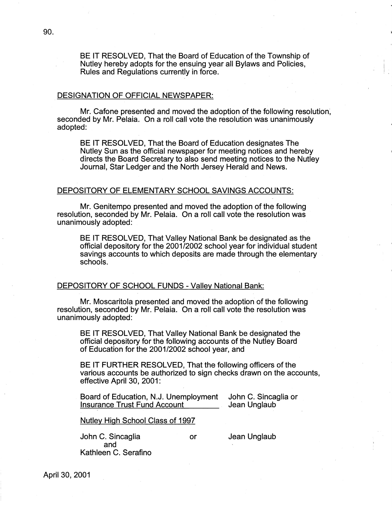BE IT RESOLVED, That the Board of Education of the Township of Nutley hereby adopts for the ensuing year all Bylaws and Policies, Rules and Regulations currently in force.

I  $\mathbb{R}^3$ 

# DESIGNATION OF OFFICIAL NEWSPAPER:

Mr. Cafone presented and moved the adoption of the following resolution. seconded by Mr. Pelaia. On a roll call vote the resolution was unanimously adopted:

BE IT RESOLVED, That the Board of Education designates The Nutley Sun as the official newspaper for meeting notices and hereby directs the Board Secretary to also send meeting notices to the Nutley Journal, Star Ledger and the North Jersey Herald and News.

# DEPOSITORY OF ELEMENTARY SCHOOL SAVINGS ACCOUNTS:

Mr. Genitempo presented and moved the adoption of the following resolution, seconded by Mr. Pelaia. On a roll call vote the resolution was unanimously adopted:

BE IT RESOLVED, That Valley National Bank be designated as the official depository for the 2001/2002 school year for individual student savings accounts to which deposits are made through the elementary schools.

# DEPOSITORY OF SCHOOL FUNDS - Valley National Bank:

Mr. Moscaritola presented and moved the adoption of the following resolution, seconded by Mr. Pelaia. On a roll call vote the resolution was unanimously adopted:

BE IT RESOLVED, That Valley National Bank be designated the official depository for the following accounts of the Nutley Board of Education for the 2001/2002 school year, and

BE IT FURTHER RESOLVED, That the following officers of the various accounts be authorized to sign checks drawn on the accounts, effective April 30, 2001:

Board of Education, N.J. Unemployment John C. Sincaglia or Insurance Trust Fund Account Jean Unglaub

Nutley High School Class of 1997

John C. Sincaglia and Kathleen C. Serafino

or Jean Unglaub

90.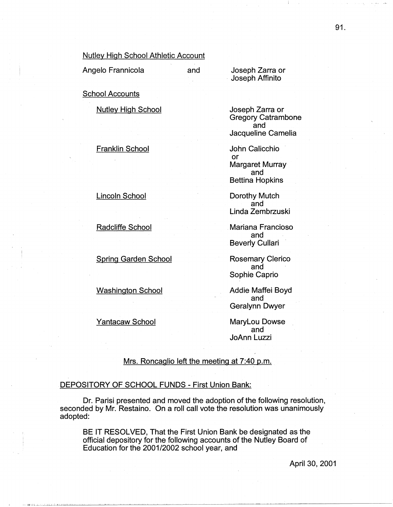Nutley High School Athletic Account

Angelo Frannicola

and Joseph Zarra or Joseph Affinito

School Accounts

Nutley High School

Franklin School

Lincoln School

Radcliffe School

Spring Garden School

Washington School

Yantacaw School

Joseph Zarra or Gregory Catrambone and Jacqueline Camelia

John Calicchio or Margaret Murray and Bettina Hopkins

Dorothy Mutch and Linda Zembrzuski

. Mariana Franciosa and Beverly Cullari

Rosemary Clerico and Sophie Caprio

Addie Maffei Boyd and Geralynn Dwyer

Marylou Dowse and JoAnn Luzzi

Mrs. Roncaglio left the meeting at 7:40 p.m.

# DEPOSITORY OF SCHOOL FUNDS - First Union Bank:

Dr. Parisi presented and moved the adoption of the following resolution, seconded by Mr. Restaino. On a roll call vote the resolution was unanimously adopted:

BE IT RESOLVED, That the First Union Bank be designated as the official depository for the following accounts of the Nutley Board of Education for the 2001/2002 school year, and

91.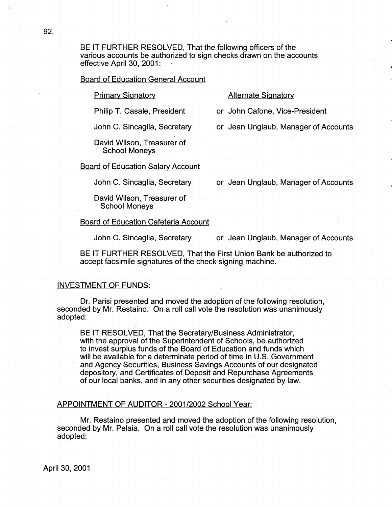BE IT FURTHER RESOLVED, That the following officers of the various accounts be authorized to sign checks drawn on the accounts effective April 30, 2001:

Board of Education General Account

Primary Signatory

## Alternate Signatory

Philip T. Casale, President

or John Catone, Vice-President

or Jean Unglaub, Manager of Accounts

or Jean Unglaub, Manager of Accounts

John C. Sincaglia, Secretary

David Wilson, Treasurer of School Moneys

Board of Education Salary Account

John C. Sincaglia, Secretary

David Wilson, Treasurer of School Moneys

Board of Education Cafeteria Account

John C. Sincaglia, Secretary

or Jean Unglaub, Manager of Accounts

BE IT FURTHER RESOLVED, That the First Union Bank be authorized to accept facsimile signatures of the check signing machine.

# INVESTMENT OF FUNDS:

Dr. Parisi presented and moved the adoption of the following resolution, seconded by Mr. Restaino. On a roll call vote the resolution was unanimously adopted:

BE IT RESOLVED, That the Secretary/Business Administrator, with the approval of the Superintendent of Schools, be authorized to invest surplus funds of the Board of Education and funds which will be available for a determinate period of time in U.S. Government and Agency Securities, Business Savings Accounts of our designated depository, and Certificates of Deposit and Repurchase Agreements of our local banks, and in any other securities designated by law.

#### APPOINTMENT OF AUDITOR - 2001/2002 School Year:

Mr. Restaino presented and moved the adoption of the following resolution, seconded by Mr. Pelaia. On a roll call vote the resolution was unanimously adopted: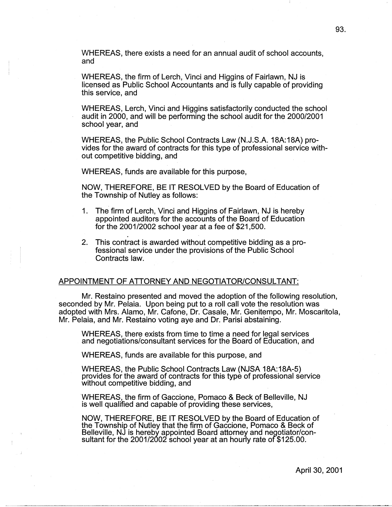WHEREAS, there exists a need for an annual audit of school accounts, and

WHEREAS, the firm of Lerch, Vinci and Higgins of Fairlawn, NJ is licensed as Public School Accountants and is fully capable of providing this service, and

WHEREAS, Lerch, Vinci and Higgins satisfactorily conducted the school audit in 2000, and will be performing the school audit for the 2000/2001 school year, and

WHEREAS, the Public School Contracts Law (N.J.S.A. 18A:18A) provides for the award of contracts for this type of professional service without competitive bidding, and

WHEREAS, funds are available for this purpose,

**NOW,** THEREFORE, BE IT RESOLVED by the Board of Education of the Township of Nutley as follows:

- 1. The firm of Lerch, Vinci and Higgins of Fairlawn, NJ is hereby appointed auditors for the accounts of the Board of Education for the 2001/2002 school year at a fee of \$21,500.
- 2. This contract is awarded without competitive bidding as a professional service under the provisions of the Public School Contracts law.

#### APPOINTMENT OF ATTORNEY AND NEGOTIATOR/CONSULTANT:

Mr. Restaino presented and moved the adoption of the following resolution, seconded by Mr. Pelaia. Upon being put to a roll call vote the resolution was adopted with Mrs. Alamo, Mr. Catone, Dr. Casale, Mr. Genitempo, Mr. Moscaritola, Mr. Pelaia, and Mr. Restaino voting aye and Dr. Parisi abstaining.

WHEREAS, there exists from time to time a need for legal services and negotiations/consultant services for the Board of Education, and

WHEREAS, funds are available for this purpose, and

WHEREAS, the Public School Contracts Law (NJSA 18A:18A-5) provides for the award of contracts for this type of professional service without competitive bidding, and

WHEREAS, the firm of Gaccione, Pomaco & Beck of Belleville, NJ is well qualified and capable of providing these services,

NOW, THEREFORE, BE IT RESOLVED by the Board of Education of the Township of Nutley that the firm of Gaccione, Pomaco & Beck of Belleville, NJ is hereby appointed Board attorney and negotiator/consultant for the 2001/2002 school year at an hourly rate of \$125.00.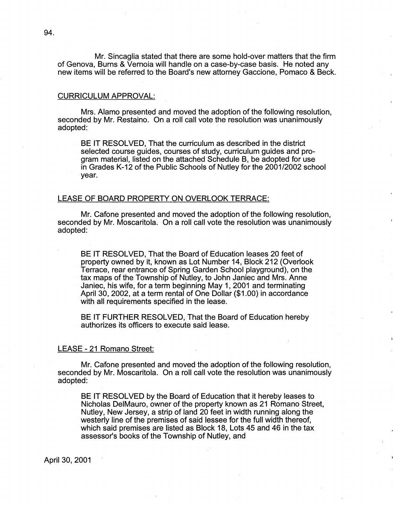Mr. Sincaglia stated that there are some hold-over matters that the firm of Genova, Burns & Vernoia will handle on a case-by-case basis. He noted any new items will be referred to the Board's new attorney Gaccione, Pomaco & Beck.

#### CURRICULUM APPROVAL:

Mrs. Alamo presented and moved the adoption of the following resolution, seconded by Mr. Restaino. On a roll call vote the resolution was unanimously adopted:

BE IT RESOLVED, That the curriculum as described in the district selected course guides, courses of study, curriculum guides and program material, listed on the attached Schedule B, be adopted for use in Grades K-12 of the Public Schools of Nutley for the 2001/2002 school year.

### LEASE OF BOARD PROPERTY ON OVERLOOK TERRACE:

Mr. Catone presented and moved the adoption of the following resolution, seconded by Mr. Moscaritola. On a roll call vote the resolution was unanimously adopted:

BE IT RESOLVED, That the Board of Education leases 20 feet of property owned by it, known as Lot Number 14, Block 212 (Overlook Terrace, rear entrance of Spring Garden School playground), on the tax maps of the Township of Nutley, to John Janiec and Mrs. Anne Janiec, his wife, for a term beginning May 1, 2001 and terminating April 30, 2002, at a term rental of One Dollar (\$1.00) in accordance with all requirements specified in the lease.

BE IT FURTHER RESOLVED, That the Board of Education hereby authorizes its officers to execute said lease.

#### LEASE - 21 Romano Street:

Mr. Catone presented and moved the adoption of the following resolution, seconded by Mr. Moscaritola. On a roll call vote the resolution was unanimously adopted:

BE IT RESOLVED by the Board of Education that it hereby leases to Nicholas DelMauro, owner of the property known as 21 Romano Street, Nutley, New Jersey, a strip of land 20 feet in width running along the westerly line of the premises of said lessee for the full width thereof, which said premises are listed as Block 18, Lots 45 and 46 in the tax assessor's books of the Township of Nutley, and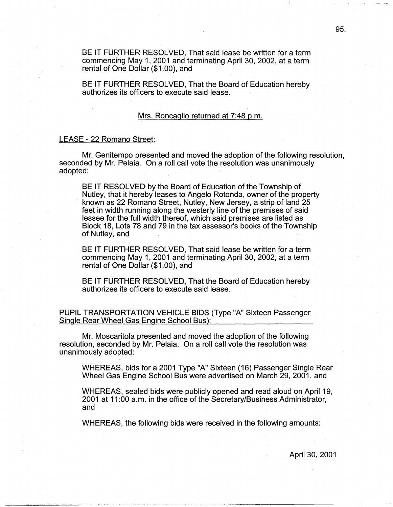BE IT FURTHER RESOLVED, That said lease be written for a term commencing May 1, 2001 and terminating April 30, 2002, at a term rental of One Dollar (\$1.00), and

BE IT FURTHER RESOLVED, That the Board of Education hereby authorizes its officers to execute said lease.

## Mrs. Roncaglio returned at 7:48 p.m.

### LEASE - 22 Romano Street:

Mr. Genitempo presented and moved the adoption of the following resolution, seconded by Mr. Pelaia. On a roll call vote the resolution was unanimously adopted:

BE IT RESOLVED by the Board of Education of the Township of Nutley, that it hereby leases to Angelo Rotonda, owner of the property known as 22 Romano Street, Nutley, New Jersey, a strip of land 25 feet in width running along the westerly line of the premises of said lessee for the full width thereof, which said premises are listed as Block 18, Lots 78 and 79 in the tax assessor's books of the Township of Nutley, and

BE IT FURTHER RESOLVED, That said lease be written for a term commencing May 1, 2001 and terminating April 30, 2002, at a term rental of One Dollar (\$1.00), and

BE IT FURTHER RESOLVED, That the Board of Education hereby authorizes its officers to execute said lease.

PUPIL TRANSPORTATION VEHICLE BIDS (Type "A" Sixteen Passenger Single Rear Wheel Gas Engine School Bus):

Mr. Moscaritola presented and moved the adoption of the following resolution, seconded by Mr. Pelaia. On a roll call vote the resolution was unanimously adopted:

WHEREAS, bids for a 2001 Type "A" Sixteen (16) Passenger Single Rear Wheel Gas Engine School Bus were advertised on March 29, 2001, and

WHEREAS, sealed bids were publicly opened and read aloud on April 19, 2001 at 11 :00 a.m. in the office of the Secretary/Business Administrator, and

WHEREAS, the following bids were received in the following amounts: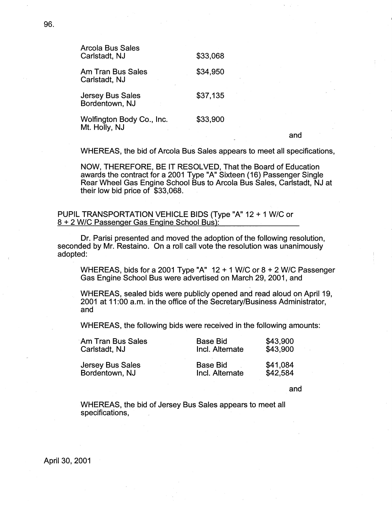| Arcola Bus Sales<br>Carlstadt, NJ          | \$33,068 |
|--------------------------------------------|----------|
| Am Tran Bus Sales<br>Carlstadt, NJ         | \$34,950 |
| <b>Jersey Bus Sales</b><br>Bordentown, NJ  | \$37,135 |
| Wolfington Body Co., Inc.<br>Mt. Holly, NJ | \$33,900 |

and

WHEREAS, the bid of Arcola Bus Sales appears to meet all specifications,

NOW, THEREFORE, BE IT RESOLVED, That the Board of Education awards the contract for a 2001 Type "A" Sixteen (16) Passenger Single Rear Wheel Gas Engine School Bus to Arcola Bus Sales, Carlstadt, NJ at their low bid price of \$33,068.

PUPIL TRANSPORTATION VEHICLE BIDS (Type "A" 12 + 1 W/C or 8 + 2 W/C Passenger Gas Engine School Bus):

Dr. Parisi presented and moved the adoption of the following resolution, seconded by Mr. Restaino. On a roll call vote the resolution was unanimously adopted:

WHEREAS, bids for a 2001 Type "A" 12 + 1 W/C or 8 + 2 W/C Passenger Gas Engine School Bus were advertised on March 29, 2001, and

WHEREAS, sealed bids were publicly opened and read aloud on April 19, 2001 at 11 :00 a.m. in the office of the Secretary/Business Administrator, and

WHEREAS, the following bids were received in the following amounts:

| Am Tran Bus Sales       | <b>Base Bid</b> | \$43,900 |
|-------------------------|-----------------|----------|
| Carlstadt, NJ           | Incl. Alternate | \$43,900 |
| <b>Jersey Bus Sales</b> | <b>Base Bid</b> | \$41,084 |
| Bordentown, NJ          | Incl. Alternate | \$42,584 |

and

WHEREAS, the bid of Jersey Bus Sales appears to meet all specifications,

· April 30, 2001